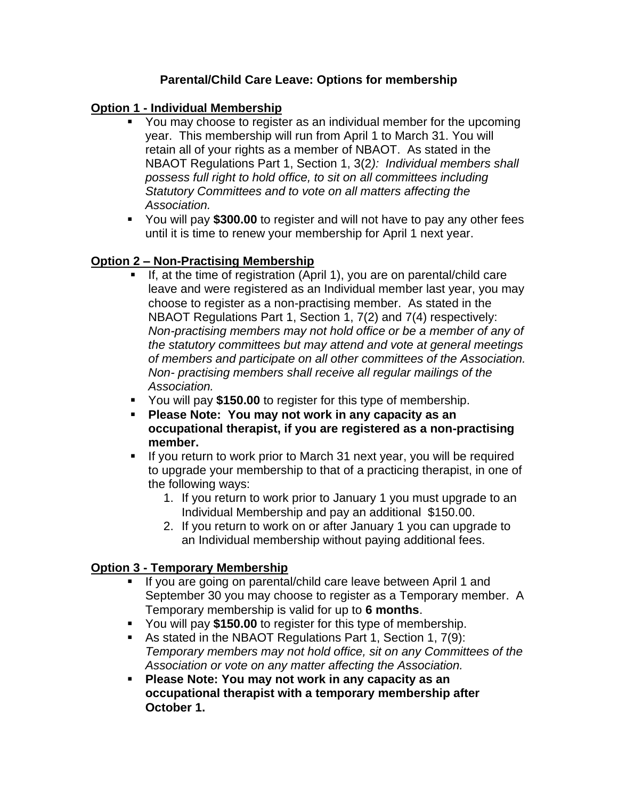### **Parental/Child Care Leave: Options for membership**

### **Option 1 - Individual Membership**

- You may choose to register as an individual member for the upcoming year. This membership will run from April 1 to March 31. You will retain all of your rights as a member of NBAOT. As stated in the NBAOT Regulations Part 1, Section 1, 3(2*): Individual members shall possess full right to hold office, to sit on all committees including Statutory Committees and to vote on all matters affecting the Association.*
- You will pay **\$300.00** to register and will not have to pay any other fees until it is time to renew your membership for April 1 next year.

# **Option 2 – Non-Practising Membership**

- If, at the time of registration (April 1), you are on parental/child care leave and were registered as an Individual member last year, you may choose to register as a non-practising member. As stated in the NBAOT Regulations Part 1, Section 1, 7(2) and 7(4) respectively: *Non-practising members may not hold office or be a member of any of the statutory committees but may attend and vote at general meetings of members and participate on all other committees of the Association. Non- practising members shall receive all regular mailings of the Association.*
- You will pay **\$150.00** to register for this type of membership.
- **Please Note: You may not work in any capacity as an occupational therapist, if you are registered as a non-practising member.**
- If you return to work prior to March 31 next year, you will be required to upgrade your membership to that of a practicing therapist, in one of the following ways:
	- 1. If you return to work prior to January 1 you must upgrade to an Individual Membership and pay an additional \$150.00.
	- 2. If you return to work on or after January 1 you can upgrade to an Individual membership without paying additional fees.

### **Option 3 - Temporary Membership**

- If you are going on parental/child care leave between April 1 and September 30 you may choose to register as a Temporary member. A Temporary membership is valid for up to **6 months**.
- You will pay **\$150.00** to register for this type of membership.
- As stated in the NBAOT Regulations Part 1, Section 1, 7(9): *Temporary members may not hold office, sit on any Committees of the Association or vote on any matter affecting the Association.*
- **Please Note: You may not work in any capacity as an occupational therapist with a temporary membership after October 1.**